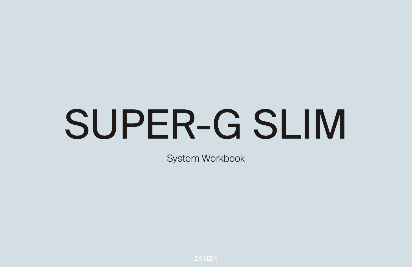# SUPER-G SLIM

System Workbook



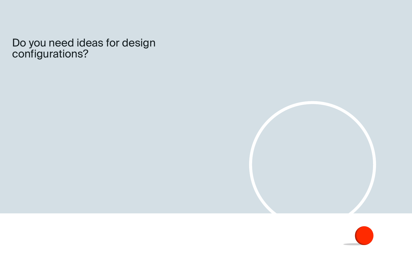Do you need ideas for design configurations?

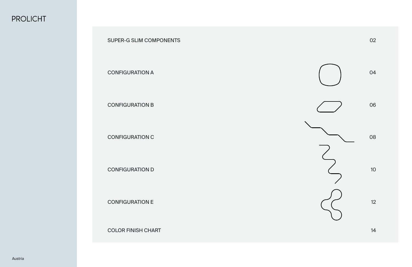

02

04

06

08

10

12

14

# **PROLICHT**

# SUPER-G SLIM COMPONENTS

CONFIGURATION A

CONFIGURATION B

CONFIGURATION C

CONFIGURATION D

CONFIGURATION E

COLOR FINISH CHART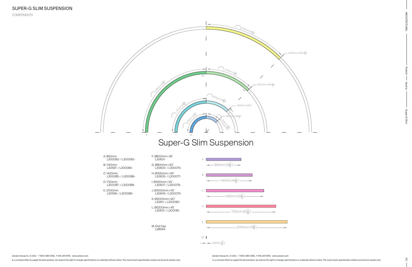In a constant effort to supply the best product, we reserve the right to change specifications or materials without notice. The most recent specification sheets are found at zaneen.com

Zaneen Group Inc. © 2021, T 1800-388-3382, F 416-247-9319, www.zaneen.com

In a constant effort to supply the best product, we reserve the right to change specifications or materials without notice. The most recent specification sheets are found at zaneen.com Zaneen Group Inc. © 2021, T 1800-388-3382, F 416-247-9319, www.zaneen.com

**ARCHITECTURAL** 

03 ARCHITECTURAL Prolicht Austria Prolicht Austria Prolicht Austria Super-G Super-G Super-G Super-G Super-G Su Superuils 9-

COMPONENTS

- A: 860mm L300082- / L300083-
- B: 1140mm L30597- / L300084-
- C: 1420mm L300085- / L300086-
- D: 1720mm L300087- / L300088-
- E: 2000mm L30599- / L300089-
- J: Ø3000mm | 45˚ L30609- / L300079-

F: Ø800mm | 45˚ L30601- G: Ø800mm | 90˚ L30603- / L300076-

H: Ø1550mm | 45˚ L30605- / L300077-

I: Ø1550mm | 90˚ L30607- / L300078-

- K: Ø3000mm | 90˚ L30611- / L300080-
- L: Ø5200mm | 45˚ L30613- / L300081-



# Super-G Slim Suspension

M: End Cap L38544M M 2000mm [784]"] 1720mm [67<mark>11</mark>."] 1420mm [55<del>6</del>″] 1140mm [44<mark>6</mark>"] 860mm [33<mark>4</mark>″] 6mm  $[\frac{1}{4}]$  $\cup$ E C B A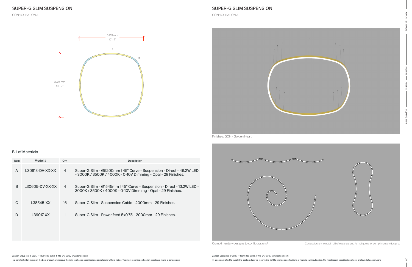

| Item | Model #         | $Q$ ty | Description                                                                                                                           |
|------|-----------------|--------|---------------------------------------------------------------------------------------------------------------------------------------|
| A    | L30613-DV-XX-XX | 4      | Super-G Slim - Ø5200mm   45° Curve - Suspension - Direct - 46.2W LED<br>- 3000K / 3500K / 4000K - 0-10V Dimming - Opal - 29 Finishes. |
| B    | L30605-DV-XX-XX | 4      | Super-G Slim - Ø1545mm   45° Curve - Suspension - Direct - 13.2W LED -<br>3000K / 3500K / 4000K - 0-10V Dimming - Opal - 29 Finishes. |
| C    | L38545-XX       | 16     | Super-G Slim - Suspension Cable - 2000mm - 29 Finishes.                                                                               |
| D    | L39017-XX       |        | Super-G Slim - Power feed 5x0.75 - 2000mm - 29 Finishes.                                                                              |
|      |                 |        |                                                                                                                                       |
|      |                 |        |                                                                                                                                       |

3225 mm  $10'$  -  $7"$ 

3225 mm  $10'$  -  $7"$ 



In a constant effort to supply the best product, we reserve the right to change specifications or materials without notice. The most recent specification sheets are found at zaneen.com

Complimentary designs to configuration A  $\qquad$  \* Contact factory to obtain bill of materials and formal quote for complimentary designs.

CONFIGURATION A

# SUPER-G SLIM SUSPENSION

A

B

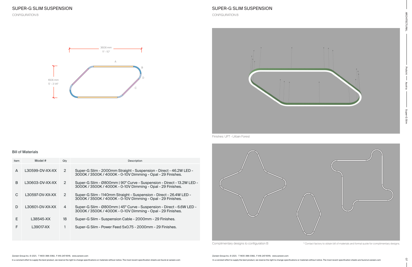



| Item | Model #         | $Q$ ty | Description                                                                                                                          |
|------|-----------------|--------|--------------------------------------------------------------------------------------------------------------------------------------|
| A    | L30599-DV-XX-XX | 2      | Super-G Slim - 2000mm Straight - Suspension - Direct - 46.2W LED -<br>3000K / 3500K / 4000K - 0-10V Dimming - Opal - 29 Finishes.    |
| B    | L30603-DV-XX-XX | 2      | Super-G Slim - Ø800mm   90° Curve - Suspension - Direct - 13.2W LED -<br>3000K / 3500K / 4000K - 0-10V Dimming - Opal - 29 Finishes. |
| C    | L30597-DV-XX-XX | 2      | Super-G Slim - 1140mm Straight - Suspension - Direct - 26.4W LED -<br>3000K / 3500K / 4000K - 0-10V Dimming - Opal - 29 Finishes.    |
| D    | L30601-DV-XX-XX | 4      | Super-G Slim - Ø800mm   45° Curve - Suspension - Direct - 6.6W LED -<br>3000K / 3500K / 4000K - 0-10V Dimming - Opal - 29 Finishes.  |
| E.   | L38545-XX       | 18     | Super-G Slim - Suspension Cable - 2000mm - 29 Finishes.                                                                              |
| F    | L39017-XX       |        | Super-G Slim - Power Feed 5x0.75 - 2000mm - 29 Finishes.                                                                             |
|      |                 |        |                                                                                                                                      |



Complimentary designs to configuration B  $\longrightarrow$  \* Contact factory to obtain bill of materials and formal quote for complimentary designs.

CONFIGURATION B

# SUPER-G SLIM SUSPENSION

CONFIGURATION B



Finishes: UFT - Urban Forest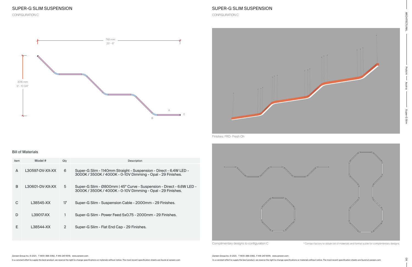

#### Bill of Materials

| Item | Model #         | Qtv            | Description                                                                                                                         |  |  |  |
|------|-----------------|----------------|-------------------------------------------------------------------------------------------------------------------------------------|--|--|--|
| A    | L30597-DV-XX-XX | 6              | Super-G Slim - 1140mm Straight - Suspension - Direct - 6.4W LED -<br>3000K / 3500K / 4000K - 0-10V Dimming - Opal - 29 Finishes.    |  |  |  |
| B    | L30601-DV-XX-XX | 5              | Super-G Slim - Ø800mm   45° Curve - Suspension - Direct - 6.6W LED -<br>3000K / 3500K / 4000K - 0-10V Dimming - Opal - 29 Finishes. |  |  |  |
| C    | L38545-XX       | 17             | Super-G Slim - Suspension Cable - 2000mm - 29 Finishes.                                                                             |  |  |  |
| D    | L39017-XX       |                | Super-G Slim - Power Feed 5x0.75 - 2000mm - 29 Finishes.                                                                            |  |  |  |
| E    | L38544-XX       | $\overline{2}$ | Super-G Slim - Flat End Cap - 29 Finishes.                                                                                          |  |  |  |
|      |                 |                |                                                                                                                                     |  |  |  |



In a constant effort to supply the best product, we reserve the right to change specifications or materials without notice. The most recent specification sheets are found at zaneen.com



Complimentary designs to configuration C \* \* Contact factory to obtain bill of materials and formal quote for complimentary designs.

CONFIGURATION C

# SUPER-G SLIM SUSPENSION

CONFIGURATION C

Finishes: FRO- Fresh Oh

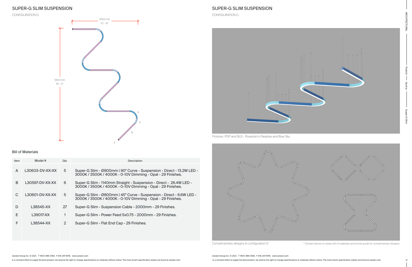



| Item | Model #         | $Q$ ty | Description                                                                                                                          |
|------|-----------------|--------|--------------------------------------------------------------------------------------------------------------------------------------|
| A    | L30603-DV-XX-XX | 5      | Super-G Slim - Ø800mm   90° Curve - Suspension - Direct - 13.2W LED -<br>3000K / 3500K / 4000K - 0-10V Dimming - Opal - 29 Finishes. |
| B    | L30597-DV-XX-XX | 6      | Super-G Slim - 1140mm Straight - Suspension - Direct - 26.4W LED -<br>3000K / 3500K / 4000K - 0-10V Dimming - Opal - 29 Finishes.    |
| C    | L30601-DV-XX-XX | 5      | Super-G Slim - Ø800mm   45° Curve - Suspension - Direct - 6.6W LED -<br>3000K / 3500K / 4000K - 0-10V Dimming - Opal - 29 Finishes.  |
| D    | L38545-XX       | 27     | Super-G Slim - Suspension Cable - 2000mm - 29 Finishes.                                                                              |
| F    | L39017-XX       |        | Super-G Slim - Power Feed 5x0.75 - 2000mm - 29 Finishes.                                                                             |
| F    | L38544-XX       | 2      | Super-G Slim - Flat End Cap - 29 Finishes.                                                                                           |
|      |                 |        |                                                                                                                                      |

3253 mm  $10' - 8''$ 



5614 mm  $18' - 5''$ 

# SUPER-G SLIM SUSPENSION

In a constant effort to supply the best product, we reserve the right to change specifications or materials without notice. The most recent specification sheets are found at zaneen.com

Complimentary designs to configuration D \* Contact factory to obtain bill of materials and formal quote for complimentary designs.

CONFIGURATION D

# SUPER-G SLIM SUSPENSION

CONFIGURATION D

A

 $\cup$ 

B

E

Finishes: POP and BLS - Poseidon's Paradise and Blue Sky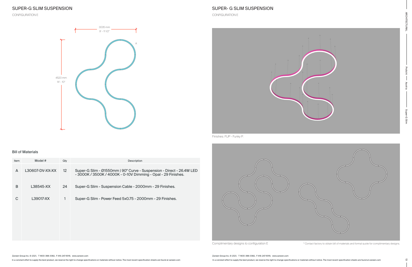Bill of Materials

| Item | Model #         | Qty             | Description                                                                                                                           |
|------|-----------------|-----------------|---------------------------------------------------------------------------------------------------------------------------------------|
| A    | L30607-DV-XX-XX | 12 <sup>2</sup> | Super-G Slim - Ø1550mm   90° Curve - Suspension - Direct - 26.4W LED<br>- 3000K / 3500K / 4000K - 0-10V Dimming - Opal - 29 Finishes. |
| B    | L38545-XX       | 24              | Super-G Slim - Suspension Cable - 2000mm - 29 Finishes.                                                                               |
| C    | L39017-XX       |                 | Super-G Slim - Power Feed 5x0.75 - 2000mm - 29 Finishes.                                                                              |
|      |                 |                 |                                                                                                                                       |
|      |                 |                 |                                                                                                                                       |
|      |                 |                 |                                                                                                                                       |

3035 mm  $9' - 111/2"$ 

4520 mm  $14'$  -  $10''$ 

In a constant effort to supply the best product, we reserve the right to change specifications or materials without notice. The most recent specification sheets are found at zaneen.com

Complimentary designs to configuration E \* Contact factory to obtain bill of materials and formal quote for complimentary designs.

CONFIGURATION E

### SUPER- G SLIM SUSPENSION

CONFIGURATION E



Finishes: FUP - Funky P.

A

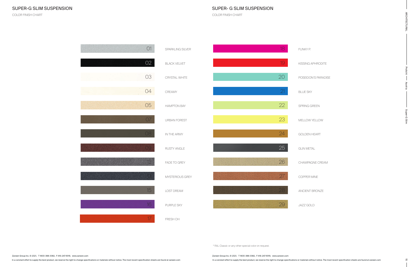In a constant effort to supply the best product, we reserve the right to change specifications or materials without notice. The most recent specification sheets are found at zaneen.com

#### COLOR FINISH CHART

# SUPER- G SLIM SUSPENSION

COLOR FINISH CHART

\* RAL Classic or any other special color on request.

| O1              | SPARKLING SILVER    | 18 | <b>FUNKY</b>  |
|-----------------|---------------------|----|---------------|
| O2              | <b>BLACK VELVET</b> | 19 | <b>KISSIN</b> |
| 03              | CRYSTAL WHITE       | 20 | POSEID        |
| 04              | CREAMY              | 21 | <b>BLUES</b>  |
| 05              | <b>HAMPTON BAY</b>  | 22 | SPRING        |
| 07              | <b>URBAN FOREST</b> | 23 | MELLO'        |
| 08              | IN THE ARMY         | 24 | GOLDE         |
| 09.             | RUSTY ANGLE         | 25 | <b>GUN M</b>  |
| 12              | FADE TO GREY        | 26 | CHAMF         |
|                 | MYSTERIOUS GREY     | 27 | COPPE         |
| 15              | LOST DREAM          | 28 | <b>ANCIEN</b> |
| 16              | PURPLE SKY          | 29 | JAZZ G        |
| 17 <sup>°</sup> | FRESH OH            |    |               |

FUNKY P.

**IG APHRODITE** 

DON'S PARADISE

SKY

**G GREEN** 

MELLOW YELLOW

EN HEART

**METAL** 

**IPAGNE CREAM** 

ER MINE

NT BRONZE

JAZZ GOLD